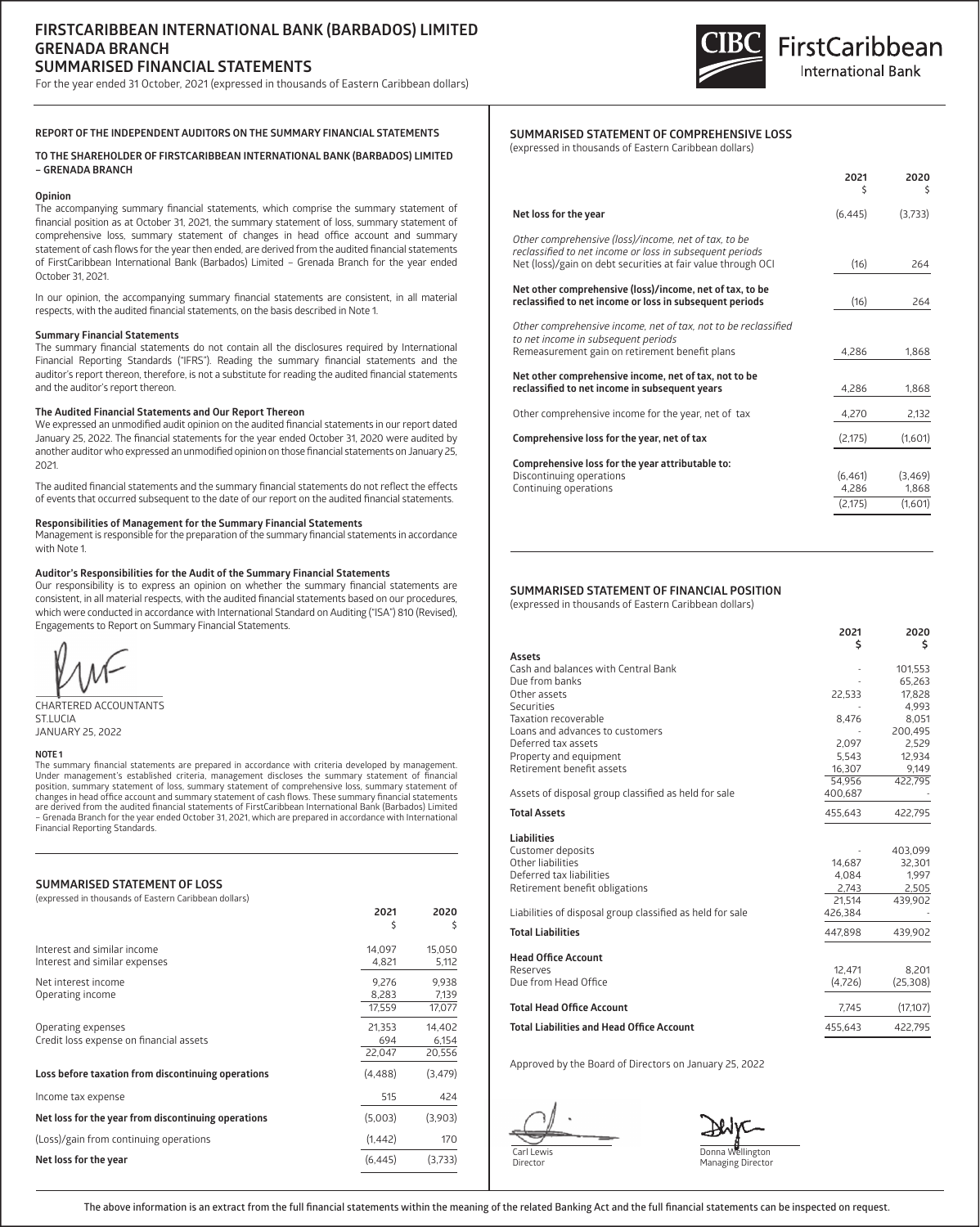# **FIRSTCARIBBEAN INTERNATIONAL BANK (BARBADOS) LIMITED GRENADA BRANCH SUMMARISED FINANCIAL STATEMENTS**

For the year ended 31 October, 2021 (expressed in thousands of Eastern Caribbean dollars)



### **REPORT OF THE INDEPENDENT AUDITORS ON THE SUMMARY FINANCIAL STATEMENTS**

**TO THE SHAREHOLDER OF FIRSTCARIBBEAN INTERNATIONAL BANK (BARBADOS) LIMITED – GRENADA BRANCH**

#### **Opinion**

The accompanying summary financial statements, which comprise the summary statement of financial position as at October 31, 2021, the summary statement of loss, summary statement of comprehensive loss, summary statement of changes in head office account and summary statement of cash flows for the year then ended, are derived from the audited financial statements of FirstCaribbean International Bank (Barbados) Limited – Grenada Branch for the year ended October 31, 2021.

In our opinion, the accompanying summary financial statements are consistent, in all material respects, with the audited financial statements, on the basis described in Note 1.

#### **Summary Financial Statements**

The summary financial statements do not contain all the disclosures required by International Financial Reporting Standards ("IFRS"). Reading the summary financial statements and the auditor's report thereon, therefore, is not a substitute for reading the audited financial statements and the auditor's report thereon.

### **The Audited Financial Statements and Our Report Thereon**

We expressed an unmodified audit opinion on the audited financial statements in our report dated January 25, 2022. The financial statements for the year ended October 31, 2020 were audited by another auditor who expressed an unmodified opinion on those financial statements on January 25, 2021.

The audited financial statements and the summary financial statements do not reflect the effects of events that occurred subsequent to the date of our report on the audited financial statements.

#### **Responsibilities of Management for the Summary Financial Statements**

Management is responsible for the preparation of the summary financial statements in accordance with Note 1.

#### **Auditor's Responsibilities for the Audit of the Summary Financial Statements**

Our responsibility is to express an opinion on whether the summary financial statements are consistent, in all material respects, with the audited financial statements based on our procedures, which were conducted in accordance with International Standard on Auditing ("ISA") 810 (Revised), Engagements to Report on Summary Financial Statements.

CHARTERED ACCOUNTANTS ST.LUCIA JANUARY 25, 2022

#### **NOTE 1**

The summary financial statements are prepared in accordance with criteria developed by management. Under management's established criteria, management discloses the summary statement of financial position, summary statement of loss, summary statement of comprehensive loss, summary statement of changes in head office account and summary statement of cash flows. These summary financial statements are derived from the audited financial statements of FirstCaribbean International Bank (Barbados) Limited – Grenada Branch for the year ended October 31, 2021, which are prepared in accordance with International Financial Reporting Standards.

#### **SUMMARISED STATEMENT OF LOSS**

(expressed in thousands of Eastern Caribbean dollars)

|                                                               | 2021<br>\$      | 2020<br>S       |
|---------------------------------------------------------------|-----------------|-----------------|
| Interest and similar income<br>Interest and similar expenses  | 14,097<br>4,821 | 15,050<br>5,112 |
| Net interest income                                           | 9.276           | 9.938           |
| Operating income                                              | 8.283<br>17.559 | 7,139<br>17,077 |
| Operating expenses<br>Credit loss expense on financial assets | 21.353<br>694   | 14.402<br>6,154 |
|                                                               | 22,047          | 20,556          |
| Loss before taxation from discontinuing operations            | (4, 488)        | (3, 479)        |
| Income tax expense                                            | 515             | 424             |
| Net loss for the year from discontinuing operations           | (5,003)         | (3,903)         |
| (Loss)/gain from continuing operations                        | (1, 442)        | 170             |
| Net loss for the year                                         | (6, 445)        | (3,733)         |

## **SUMMARISED STATEMENT OF COMPREHENSIVE LOSS**

(expressed in thousands of Eastern Caribbean dollars)

|                                                                                                                      | 2021<br>\$ | 2020<br>Ŝ |
|----------------------------------------------------------------------------------------------------------------------|------------|-----------|
| Net loss for the year                                                                                                | (6, 445)   | (3,733)   |
| Other comprehensive (loss)/income, net of tax, to be<br>reclassified to net income or loss in subsequent periods     |            |           |
| Net (loss)/gain on debt securities at fair value through OCI                                                         | (16)       | 264       |
| Net other comprehensive (loss)/income, net of tax, to be<br>reclassified to net income or loss in subsequent periods | (16)       | 264       |
| Other comprehensive income, net of tax, not to be reclassified<br>to net income in subsequent periods                |            |           |
| Remeasurement gain on retirement benefit plans                                                                       | 4,286      | 1,868     |
| Net other comprehensive income, net of tax, not to be<br>reclassified to net income in subsequent years              | 4,286      | 1,868     |
| Other comprehensive income for the year, net of tax                                                                  | 4,270      | 2,132     |
| Comprehensive loss for the year, net of tax                                                                          | (2, 175)   | (1,601)   |
| Comprehensive loss for the year attributable to:                                                                     |            |           |
| Discontinuing operations                                                                                             | (6, 461)   | (3, 469)  |
| Continuing operations                                                                                                | 4,286      | 1,868     |
|                                                                                                                      | (2, 175)   | (1,601)   |
|                                                                                                                      |            |           |

## **SUMMARISED STATEMENT OF FINANCIAL POSITION**

(expressed in thousands of Eastern Caribbean dollars)

|                                                           | 2021<br>Ś | 2020<br>Ś |
|-----------------------------------------------------------|-----------|-----------|
| <b>Assets</b>                                             |           |           |
| Cash and balances with Central Bank                       |           | 101,553   |
| Due from banks                                            |           | 65,263    |
| Other assets                                              | 22,533    | 17.828    |
| Securities                                                |           | 4,993     |
| Taxation recoverable                                      | 8,476     | 8,051     |
| Loans and advances to customers                           |           | 200,495   |
| Deferred tax assets                                       | 2,097     | 2,529     |
| Property and equipment                                    | 5,543     | 12,934    |
| Retirement benefit assets                                 | 16.307    | 9.149     |
|                                                           | 54.956    | 422.795   |
| Assets of disposal group classified as held for sale      | 400,687   |           |
| <b>Total Assets</b>                                       | 455,643   | 422,795   |
| <b>Liabilities</b>                                        |           |           |
| Customer deposits                                         |           | 403,099   |
| Other liabilities                                         | 14,687    | 32,301    |
| Deferred tax liabilities                                  | 4.084     | 1,997     |
| Retirement benefit obligations                            | 2,743     | 2,505     |
|                                                           | 21.514    | 439.902   |
| Liabilities of disposal group classified as held for sale | 426,384   |           |
| <b>Total Liabilities</b>                                  | 447,898   | 439.902   |
| <b>Head Office Account</b>                                |           |           |
| Reserves                                                  | 12,471    | 8,201     |
| Due from Head Office                                      | (4,726)   | (25, 308) |
| <b>Total Head Office Account</b>                          | 7,745     | (17,107)  |
| <b>Total Liabilities and Head Office Account</b>          | 455,643   | 422,795   |

Approved by the Board of Directors on January 25, 2022

Carl Lewis Director